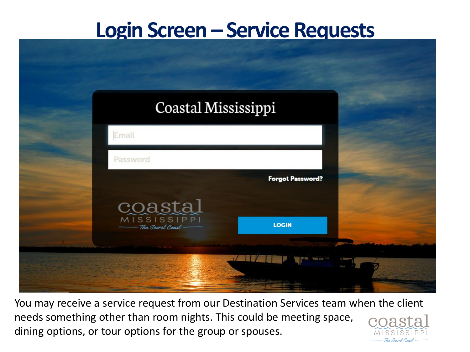### **Login Screen – Service Requests**

| Coastal Mississippi                                                                    |                         |  |
|----------------------------------------------------------------------------------------|-------------------------|--|
| Email                                                                                  |                         |  |
| Password                                                                               |                         |  |
|                                                                                        | <b>Forgot Password?</b> |  |
| $\underset{\underbrace{\text{MISSISSIPPI}}{\text{MISSISSIPPI}}} {\text{MISSISSIPPI}}}$ |                         |  |
|                                                                                        | <b>LOGIN</b>            |  |

You may receive a service request from our Destination Services team when the client needs something other than room nights. This could be meeting space, dining options, or tour options for the group or spouses.

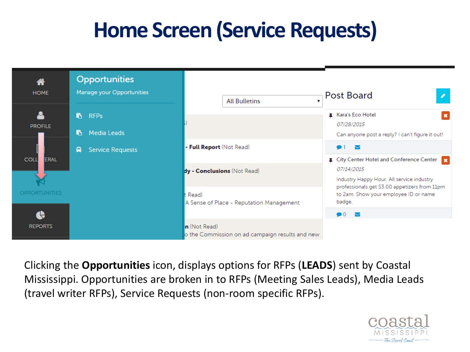# **Home Screen (Service Requests)**



Clicking the **Opportunities** icon, displays options for RFPs (**LEADS**) sent by Coastal Mississippi. Opportunities are broken in to RFPs (Meeting Sales Leads), Media Leads (travel writer RFPs), Service Requests (non-room specific RFPs).

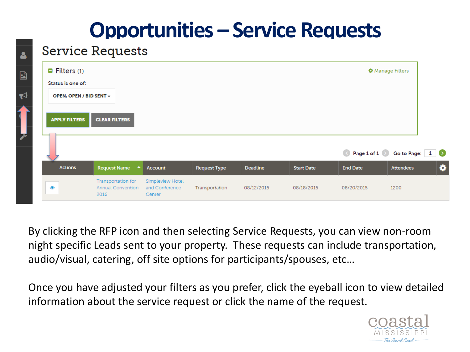## **Opportunities – Service Requests**

#### **Service Requests**

| $\blacksquare$ Filters (1)<br>Status is one of: |                                                |                                    |                     |                 |                   |                 | <b><math>\bullet</math></b> Manage Filters |
|-------------------------------------------------|------------------------------------------------|------------------------------------|---------------------|-----------------|-------------------|-----------------|--------------------------------------------|
| OPEN, OPEN / BID SENT +                         |                                                |                                    |                     |                 |                   |                 |                                            |
|                                                 |                                                |                                    |                     |                 |                   |                 |                                            |
| <b>APPLY FILTERS</b>                            | <b>CLEAR FILTERS</b>                           |                                    |                     |                 |                   |                 |                                            |
|                                                 |                                                |                                    |                     |                 |                   |                 |                                            |
|                                                 |                                                |                                    |                     |                 |                   |                 |                                            |
|                                                 |                                                |                                    |                     |                 |                   |                 |                                            |
|                                                 |                                                |                                    |                     |                 |                   |                 | Page 1 of 1 8 Go to Page: 1 8              |
| <b>Actions</b>                                  | <b>Request Name</b><br>$\blacktriangle$        | <b>Account</b>                     | <b>Request Type</b> | <b>Deadline</b> | <b>Start Date</b> | <b>End Date</b> | <b>Attendees</b>                           |
|                                                 | Transportation for<br><b>Annual Convention</b> | Simpleview Hotel<br>and Conference | Transportation      | 08/12/2015      | 08/18/2015        | 08/20/2015      | 1200                                       |

By clicking the RFP icon and then selecting Service Requests, you can view non-room night specific Leads sent to your property. These requests can include transportation, audio/visual, catering, off site options for participants/spouses, etc…

Once you have adjusted your filters as you prefer, click the eyeball icon to view detailed information about the service request or click the name of the request.

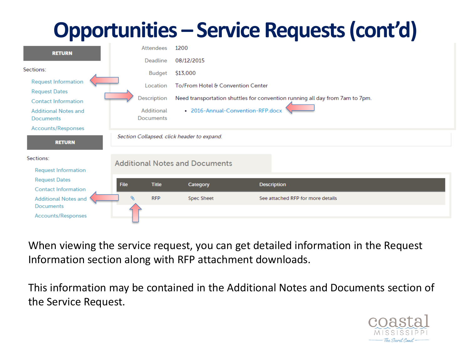## **Opportunities – Service Requests (cont'd)**

| <b>RETURN</b>                                      |      | Attendees                      | 1200                                       |                                                                              |
|----------------------------------------------------|------|--------------------------------|--------------------------------------------|------------------------------------------------------------------------------|
|                                                    |      | Deadline                       | 08/12/2015                                 |                                                                              |
| Sections:                                          |      | Budget                         | \$13,000                                   |                                                                              |
| <b>Request Information</b>                         |      | Location                       | To/From Hotel & Convention Center          |                                                                              |
| <b>Request Dates</b><br><b>Contact Information</b> |      | Description                    |                                            | Need transportation shuttles for convention running all day from 7am to 7pm. |
| <b>Additional Notes and</b><br><b>Documents</b>    |      | Additional<br><b>Documents</b> |                                            | • 2016-Annual-Convention-RFP.docx                                            |
| Accounts/Responses                                 |      |                                |                                            |                                                                              |
| <b>RETURN</b>                                      |      |                                | Section Collapsed, click header to expand. |                                                                              |
| Sections:                                          |      |                                | <b>Additional Notes and Documents</b>      |                                                                              |
| <b>Request Information</b>                         |      |                                |                                            |                                                                              |
| <b>Request Dates</b>                               | File | <b>Title</b>                   | Category                                   | <b>Description</b>                                                           |
| <b>Contact Information</b>                         |      |                                |                                            |                                                                              |
| <b>Additional Notes and</b><br><b>Documents</b>    |      | ⇖<br><b>RFP</b>                | Spec Sheet                                 | See attached RFP for more details                                            |
| <b>Accounts/Responses</b>                          |      |                                |                                            |                                                                              |

When viewing the service request, you can get detailed information in the Request Information section along with RFP attachment downloads.

This information may be contained in the Additional Notes and Documents section of the Service Request.

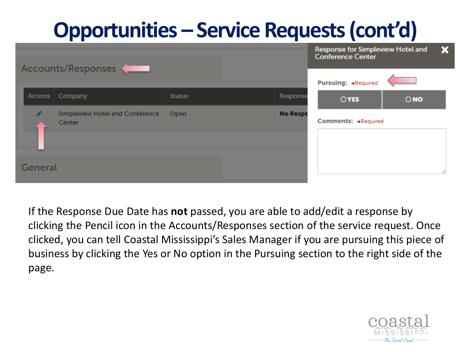# **Opportunities – Service Requests (cont'd)**

|         | Accounts/Responses                        |               |                 | Response for Simpleview Hotel and<br><b>Conference Center</b> |               | × |
|---------|-------------------------------------------|---------------|-----------------|---------------------------------------------------------------|---------------|---|
|         |                                           |               |                 | Pursulng: «Required                                           |               |   |
| Actions | Company                                   | <b>Status</b> | Response        | <b>OYES</b>                                                   | $\bigcirc$ NO |   |
|         | Simpleview Hotel and Conference<br>Center | Open          | <b>No Respo</b> | Comments: <required< td=""><td></td><td></td></required<>     |               |   |
|         |                                           |               |                 |                                                               |               |   |
| General |                                           |               |                 |                                                               |               | ∕ |

If the Response Due Date has **not** passed, you are able to add/edit a response by clicking the Pencil icon in the Accounts/Responses section of the service request. Once clicked, you can tell Coastal Mississippi's Sales Manager if you are pursuing this piece of business by clicking the Yes or No option in the Pursuing section to the right side of the page.